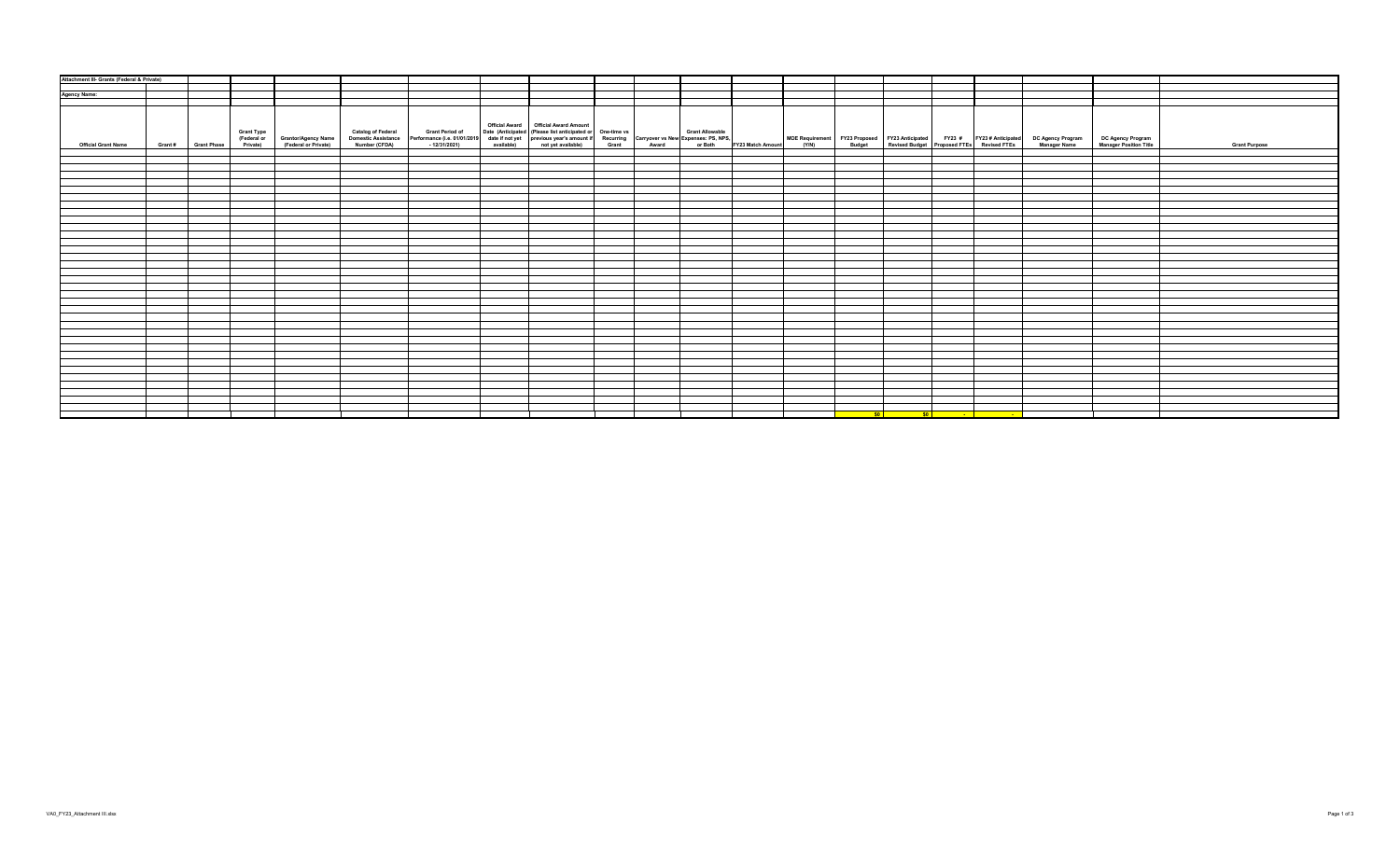| Attachment III- Grants (Federal & Private) |                     |                                                                                 |  |                                        |                                                                                                                                                                                                                                |  |           |  |                                                                                                                        |                                                                                                                                                                                                           |                      |
|--------------------------------------------|---------------------|---------------------------------------------------------------------------------|--|----------------------------------------|--------------------------------------------------------------------------------------------------------------------------------------------------------------------------------------------------------------------------------|--|-----------|--|------------------------------------------------------------------------------------------------------------------------|-----------------------------------------------------------------------------------------------------------------------------------------------------------------------------------------------------------|----------------------|
|                                            |                     |                                                                                 |  |                                        |                                                                                                                                                                                                                                |  |           |  |                                                                                                                        |                                                                                                                                                                                                           |                      |
| <b>Agency Name:</b>                        |                     |                                                                                 |  |                                        |                                                                                                                                                                                                                                |  |           |  |                                                                                                                        |                                                                                                                                                                                                           |                      |
|                                            |                     |                                                                                 |  |                                        |                                                                                                                                                                                                                                |  |           |  |                                                                                                                        |                                                                                                                                                                                                           |                      |
| <b>Official Grant Name</b>                 | Grant # Grant Phase | Grant Type<br>(Federal or Grantor/Agency Name)<br>Private) (Federal or Private) |  | Official Award   Official Award Amount | Catalog of Federal Grant Period of Date (Anticipated (Please list anticipated or One-time vs Grant Allowable Momestic Asstance Performance (i.e. 01012019 date if not previous year's amount if Recurring Carryover vs New Exp |  |           |  |                                                                                                                        | MOE Requirement FY23 Proposed FY23 Anticipated FY23 # FY23 #Anticipated DC Agency Program DC Agency Program<br>(Y/N) Budget Revised Budget Proposed FTEs Revised FTEs Manager Name Manager Position Title | <b>Grant Purpose</b> |
|                                            |                     |                                                                                 |  |                                        |                                                                                                                                                                                                                                |  |           |  |                                                                                                                        |                                                                                                                                                                                                           |                      |
|                                            |                     |                                                                                 |  |                                        |                                                                                                                                                                                                                                |  |           |  |                                                                                                                        |                                                                                                                                                                                                           |                      |
|                                            |                     |                                                                                 |  |                                        |                                                                                                                                                                                                                                |  |           |  |                                                                                                                        |                                                                                                                                                                                                           |                      |
|                                            |                     |                                                                                 |  |                                        |                                                                                                                                                                                                                                |  |           |  |                                                                                                                        |                                                                                                                                                                                                           |                      |
|                                            |                     |                                                                                 |  |                                        |                                                                                                                                                                                                                                |  |           |  |                                                                                                                        |                                                                                                                                                                                                           |                      |
|                                            |                     |                                                                                 |  |                                        |                                                                                                                                                                                                                                |  |           |  |                                                                                                                        |                                                                                                                                                                                                           |                      |
|                                            |                     |                                                                                 |  |                                        |                                                                                                                                                                                                                                |  |           |  |                                                                                                                        |                                                                                                                                                                                                           |                      |
|                                            |                     |                                                                                 |  |                                        |                                                                                                                                                                                                                                |  |           |  |                                                                                                                        |                                                                                                                                                                                                           |                      |
|                                            |                     |                                                                                 |  |                                        |                                                                                                                                                                                                                                |  |           |  |                                                                                                                        |                                                                                                                                                                                                           |                      |
|                                            |                     |                                                                                 |  |                                        |                                                                                                                                                                                                                                |  |           |  |                                                                                                                        |                                                                                                                                                                                                           |                      |
|                                            |                     |                                                                                 |  |                                        |                                                                                                                                                                                                                                |  |           |  |                                                                                                                        |                                                                                                                                                                                                           |                      |
|                                            |                     |                                                                                 |  |                                        |                                                                                                                                                                                                                                |  |           |  |                                                                                                                        |                                                                                                                                                                                                           |                      |
|                                            |                     |                                                                                 |  |                                        |                                                                                                                                                                                                                                |  |           |  |                                                                                                                        |                                                                                                                                                                                                           |                      |
|                                            |                     |                                                                                 |  |                                        |                                                                                                                                                                                                                                |  |           |  |                                                                                                                        |                                                                                                                                                                                                           |                      |
|                                            |                     |                                                                                 |  |                                        |                                                                                                                                                                                                                                |  |           |  |                                                                                                                        |                                                                                                                                                                                                           |                      |
|                                            |                     |                                                                                 |  |                                        |                                                                                                                                                                                                                                |  |           |  |                                                                                                                        |                                                                                                                                                                                                           |                      |
|                                            |                     |                                                                                 |  |                                        |                                                                                                                                                                                                                                |  |           |  |                                                                                                                        |                                                                                                                                                                                                           |                      |
|                                            |                     |                                                                                 |  |                                        |                                                                                                                                                                                                                                |  |           |  |                                                                                                                        |                                                                                                                                                                                                           |                      |
|                                            |                     |                                                                                 |  |                                        |                                                                                                                                                                                                                                |  |           |  |                                                                                                                        |                                                                                                                                                                                                           |                      |
|                                            |                     |                                                                                 |  |                                        |                                                                                                                                                                                                                                |  |           |  |                                                                                                                        |                                                                                                                                                                                                           |                      |
|                                            |                     |                                                                                 |  |                                        |                                                                                                                                                                                                                                |  |           |  |                                                                                                                        |                                                                                                                                                                                                           |                      |
|                                            |                     |                                                                                 |  |                                        |                                                                                                                                                                                                                                |  |           |  |                                                                                                                        |                                                                                                                                                                                                           |                      |
|                                            |                     |                                                                                 |  |                                        |                                                                                                                                                                                                                                |  |           |  |                                                                                                                        |                                                                                                                                                                                                           |                      |
|                                            |                     |                                                                                 |  |                                        |                                                                                                                                                                                                                                |  |           |  |                                                                                                                        |                                                                                                                                                                                                           |                      |
|                                            |                     |                                                                                 |  |                                        |                                                                                                                                                                                                                                |  |           |  |                                                                                                                        |                                                                                                                                                                                                           |                      |
|                                            |                     |                                                                                 |  |                                        |                                                                                                                                                                                                                                |  |           |  |                                                                                                                        |                                                                                                                                                                                                           |                      |
|                                            |                     |                                                                                 |  |                                        |                                                                                                                                                                                                                                |  |           |  |                                                                                                                        |                                                                                                                                                                                                           |                      |
|                                            |                     |                                                                                 |  |                                        |                                                                                                                                                                                                                                |  |           |  |                                                                                                                        |                                                                                                                                                                                                           |                      |
|                                            |                     |                                                                                 |  |                                        |                                                                                                                                                                                                                                |  |           |  |                                                                                                                        |                                                                                                                                                                                                           |                      |
|                                            |                     |                                                                                 |  |                                        |                                                                                                                                                                                                                                |  |           |  |                                                                                                                        |                                                                                                                                                                                                           |                      |
|                                            |                     |                                                                                 |  |                                        |                                                                                                                                                                                                                                |  |           |  |                                                                                                                        |                                                                                                                                                                                                           |                      |
|                                            |                     |                                                                                 |  |                                        |                                                                                                                                                                                                                                |  |           |  |                                                                                                                        |                                                                                                                                                                                                           |                      |
|                                            |                     |                                                                                 |  |                                        |                                                                                                                                                                                                                                |  | <b>SO</b> |  | <u>in the soul of the soul of the soul of the soul of the soul of the soul of the soul of the soul of the soul of </u> |                                                                                                                                                                                                           |                      |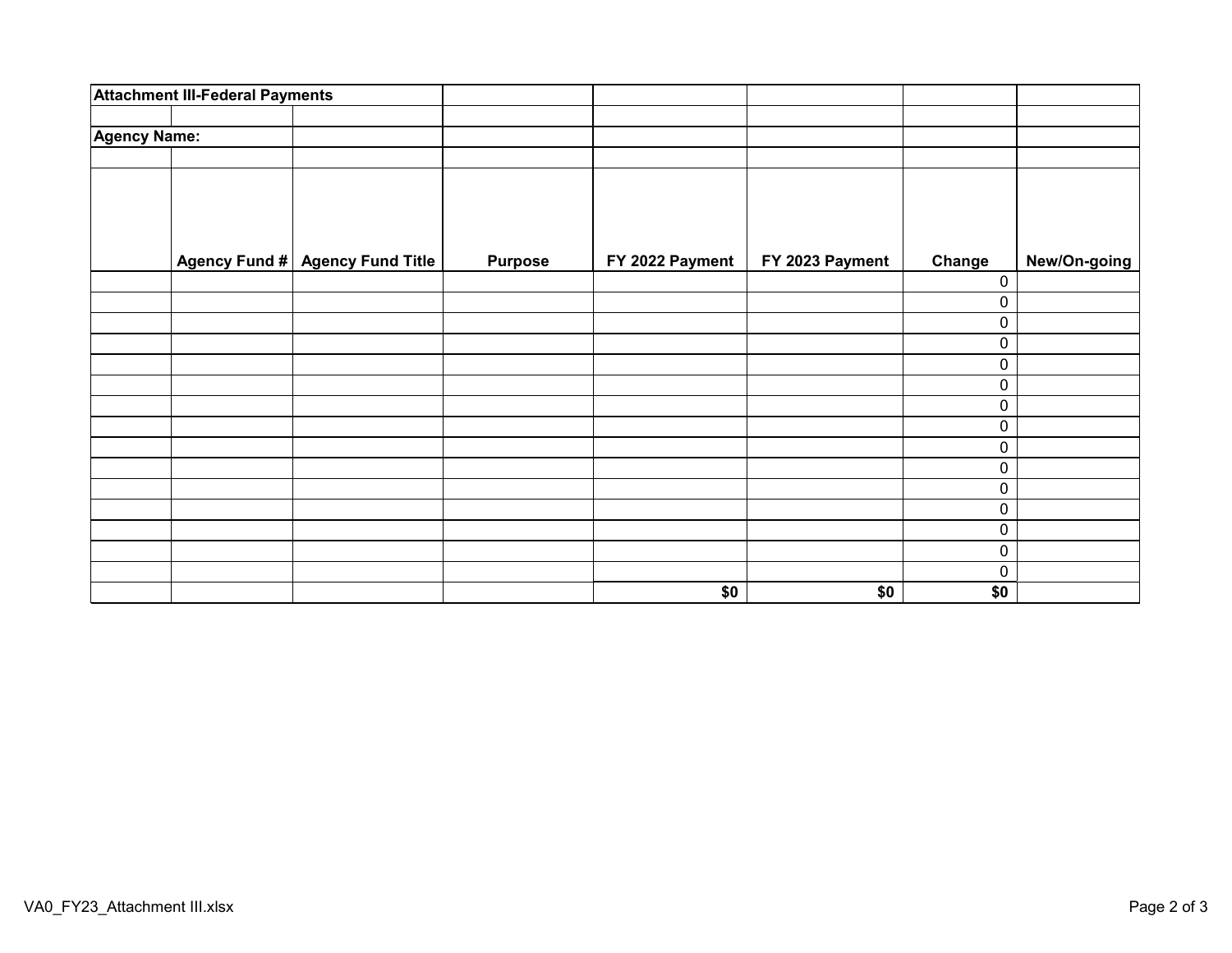|                     | <b>Attachment III-Federal Payments</b> |                                 |                |                 |                 |             |              |
|---------------------|----------------------------------------|---------------------------------|----------------|-----------------|-----------------|-------------|--------------|
| <b>Agency Name:</b> |                                        |                                 |                |                 |                 |             |              |
|                     |                                        |                                 |                |                 |                 |             |              |
|                     |                                        |                                 |                |                 |                 |             |              |
|                     |                                        |                                 |                |                 |                 |             |              |
|                     |                                        |                                 |                |                 |                 |             |              |
|                     |                                        | Agency Fund # Agency Fund Title | <b>Purpose</b> | FY 2022 Payment | FY 2023 Payment | Change      | New/On-going |
|                     |                                        |                                 |                |                 |                 | 0           |              |
|                     |                                        |                                 |                |                 |                 | 0           |              |
|                     |                                        |                                 |                |                 |                 | $\pmb{0}$   |              |
|                     |                                        |                                 |                |                 |                 | $\pmb{0}$   |              |
|                     |                                        |                                 |                |                 |                 | $\pmb{0}$   |              |
|                     |                                        |                                 |                |                 |                 | $\mathbf 0$ |              |
|                     |                                        |                                 |                |                 |                 | $\pmb{0}$   |              |
|                     |                                        |                                 |                |                 |                 | $\mathbf 0$ |              |
|                     |                                        |                                 |                |                 |                 | $\pmb{0}$   |              |
|                     |                                        |                                 |                |                 |                 | $\pmb{0}$   |              |
|                     |                                        |                                 |                |                 |                 | $\pmb{0}$   |              |
|                     |                                        |                                 |                |                 |                 | $\pmb{0}$   |              |
|                     |                                        |                                 |                |                 |                 | $\pmb{0}$   |              |
|                     |                                        |                                 |                |                 |                 | $\mathbf 0$ |              |
|                     |                                        |                                 |                |                 |                 | $\mathbf 0$ |              |
|                     |                                        |                                 |                | \$0             | \$0             | \$0         |              |